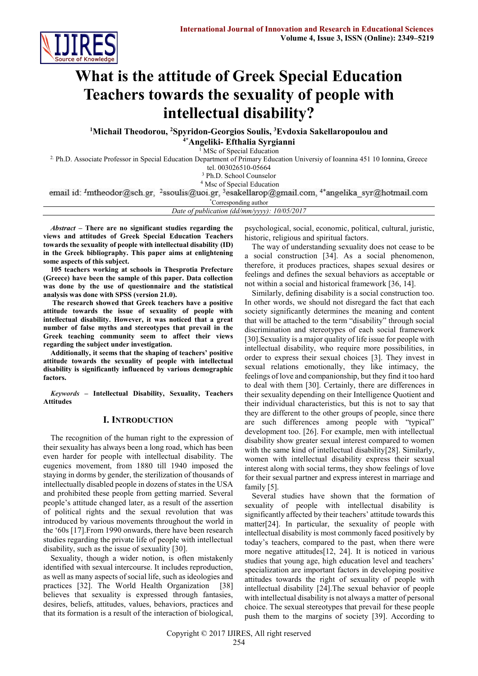

# **What is the attitude of Greek Special Education Teachers towards the sexuality of people with intellectual disability?**

**<sup>1</sup>Michail Theodorou, <sup>2</sup>Spyridon-Georgios Soulis, <sup>3</sup>Evdoxia Sakellaropoulou and 4\*Angeliki- Efthalia Syrgianni**

<sup>1</sup> MSc of Special Education

2. Ph.D. Associate Professor in Special Education Department of Primary Education Universiy of Ioannina 451 10 Ionnina, Greece

tel. 003026510-05664

<sup>3</sup> Ph.D. School Counselor

<sup>4</sup> Msc of Special Education<br>email id: <sup>1</sup>mtheodor@sch.gr, <sup>2</sup>ssoulis@uoi.gr, <sup>3</sup>esakellarop@gmail.com, <sup>4\*</sup>angelika syr@hotmail.com

\*Corresponding author

*Date of publication (dd/mm/yyyy): 10/05/2017*

*Abstract* **– There are no significant studies regarding the views and attitudes of Greek Special Education Teachers towards the sexuality of people with intellectual disability (ID) in the Greek bibliography. This paper aims at enlightening some aspects of this subject.**

**105 teachers working at schools in Thesprotia Prefecture (Greece) have been the sample of this paper. Data collection was done by the use of questionnaire and the statistical analysis was done with SPSS (version 21.0).**

**The research showed that Greek teachers have a positive attitude towards the issue of sexuality of people with intellectual disability. However, it was noticed that a great number of false myths and stereotypes that prevail in the Greek teaching community seem to affect their views regarding the subject under investigation.**

**Additionally, it seems that the shaping of teachers' positive attitude towards the sexuality of people with intellectual disability is significantly influenced by various demographic factors.**

*Keywords* **– Intellectual Disability, Sexuality, Teachers Attitudes**

# **I. INTRODUCTION**

The recognition of the human right to the expression of their sexuality has always been a long road, which has been even harder for people with intellectual disability. The eugenics movement, from 1880 till 1940 imposed the staying in dorms by gender, the sterilization of thousands of intellectually disabled people in dozens of states in the USA and prohibited these people from getting married. Several people's attitude changed later, as a result of the assertion of political rights and the sexual revolution that was introduced by various movements throughout the world in the '60s [17].From 1990 onwards, there have been research studies regarding the private life of people with intellectual disability, such as the issue of sexuality [30].

Sexuality, though a wider notion, is often mistakenly identified with sexual intercourse. It includes reproduction, as well as many aspects of social life, such as ideologies and practices [32]. The World Health Organization [38] believes that sexuality is expressed through fantasies, desires, beliefs, attitudes, values, behaviors, practices and that its formation is a result of the interaction of biological,

psychological, social, economic, political, cultural, juristic, historic, religious and spiritual factors.

The way of understanding sexuality does not cease to be a social construction [34]. As a social phenomenon, therefore, it produces practices, shapes sexual desires or feelings and defines the sexual behaviors as acceptable or not within a social and historical framework [36, 14].

Similarly, defining disability is a social construction too. In other words, we should not disregard the fact that each society significantly determines the meaning and content that will be attached to the term "disability" through social discrimination and stereotypes of each social framework [30].Sexuality is a major quality of life issue for people with intellectual disability, who require more possibilities, in order to express their sexual choices [3]. They invest in sexual relations emotionally, they like intimacy, the feelings of love and companionship, but they find it too hard to deal with them [30]. Certainly, there are differences in their sexuality depending on their Intelligence Quotient and their individual characteristics, but this is not to say that they are different to the other groups of people, since there are such differences among people with "typical" development too. [26]. For example, men with intellectual disability show greater sexual interest compared to women with the same kind of intellectual disability[28]. Similarly, women with intellectual disability express their sexual interest along with social terms, they show feelings of love for their sexual partner and express interest in marriage and family [5].

Several studies have shown that the formation of sexuality of people with intellectual disability is significantly affected by their teachers' attitude towards this matter[24]. In particular, the sexuality of people with intellectual disability is most commonly faced positively by today's teachers, compared to the past, when there were more negative attitudes[12, 24]. It is noticed in various studies that young age, high education level and teachers' specialization are important factors in developing positive attitudes towards the right of sexuality of people with intellectual disability [24].The sexual behavior of people with intellectual disability is not always a matter of personal choice. The sexual stereotypes that prevail for these people push them to the margins of society [39]. According to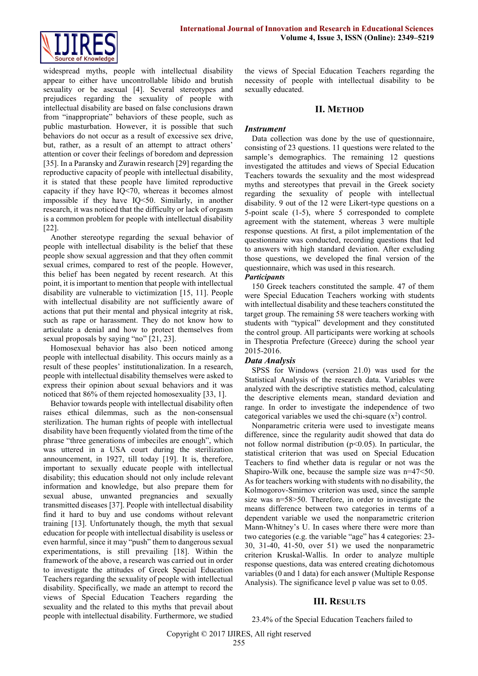

widespread myths, people with intellectual disability appear to either have uncontrollable libido and brutish sexuality or be asexual [4]. Several stereotypes and prejudices regarding the sexuality of people with intellectual disability are based on false conclusions drawn from "inappropriate" behaviors of these people, such as public masturbation. However, it is possible that such behaviors do not occur as a result of excessive sex drive, but, rather, as a result of an attempt to attract others' attention or cover their feelings of boredom and depression [35]. In a Paransky and Zurawin research [29] regarding the reproductive capacity of people with intellectual disability, it is stated that these people have limited reproductive capacity if they have IQ<70, whereas it becomes almost impossible if they have IQ<50. Similarly, in another research, it was noticed that the difficulty or lack of orgasm is a common problem for people with intellectual disability [22].

Another stereotype regarding the sexual behavior of people with intellectual disability is the belief that these people show sexual aggression and that they often commit sexual crimes, compared to rest of the people. However, this belief has been negated by recent research. At this point, it is important to mention that people with intellectual disability are vulnerable to victimization [15, 11]. People with intellectual disability are not sufficiently aware of actions that put their mental and physical integrity at risk, such as rape or harassment. They do not know how to articulate a denial and how to protect themselves from sexual proposals by saying "no" [21, 23].

Homosexual behavior has also been noticed among people with intellectual disability. This occurs mainly as a result of these peoples' institutionalization. In a research, people with intellectual disability themselves were asked to express their opinion about sexual behaviors and it was noticed that 86% of them rejected homosexuality [33, 1].

Behavior towards people with intellectual disability often raises ethical dilemmas, such as the non-consensual sterilization. The human rights of people with intellectual disability have been frequently violated from the time of the phrase "three generations of imbeciles are enough", which was uttered in a USA court during the sterilization announcement, in 1927, till today [19]. It is, therefore, important to sexually educate people with intellectual disability; this education should not only include relevant information and knowledge, but also prepare them for sexual abuse, unwanted pregnancies and sexually transmitted diseases [37]. People with intellectual disability find it hard to buy and use condoms without relevant training [13]. Unfortunately though, the myth that sexual education for people with intellectual disability is useless or even harmful, since it may "push" them to dangerous sexual experimentations, is still prevailing [18]. Within the framework of the above, a research was carried out in order to investigate the attitudes of Greek Special Education Teachers regarding the sexuality of people with intellectual disability. Specifically, we made an attempt to record the views of Special Education Teachers regarding the sexuality and the related to this myths that prevail about people with intellectual disability. Furthermore, we studied

the views of Special Education Teachers regarding the necessity of people with intellectual disability to be sexually educated.

### **II. METHOD**

### *Instrument*

Data collection was done by the use of questionnaire, consisting of 23 questions. 11 questions were related to the sample's demographics. The remaining 12 questions investigated the attitudes and views of Special Education Teachers towards the sexuality and the most widespread myths and stereotypes that prevail in the Greek society regarding the sexuality of people with intellectual disability. 9 out of the 12 were Likert-type questions on a 5-point scale (1-5), where 5 corresponded to complete agreement with the statement, whereas 3 were multiple response questions. At first, a pilot implementation of the questionnaire was conducted, recording questions that led to answers with high standard deviation. After excluding those questions, we developed the final version of the questionnaire, which was used in this research.

#### *Participants*

150 Greek teachers constituted the sample. 47 of them were Special Education Teachers working with students with intellectual disability and these teachers constituted the target group. The remaining 58 were teachers working with students with "typical" development and they constituted the control group. All participants were working at schools in Thesprotia Prefecture (Greece) during the school year 2015-2016.

# *Data Analysis*

SPSS for Windows (version 21.0) was used for the Statistical Analysis of the research data. Variables were analyzed with the descriptive statistics method, calculating the descriptive elements mean, standard deviation and range. In order to investigate the independence of two categorical variables we used the chi-square  $(x^2)$  control.

Nonparametric criteria were used to investigate means difference, since the regularity audit showed that data do not follow normal distribution ( $p<0.05$ ). In particular, the statistical criterion that was used on Special Education Teachers to find whether data is regular or not was the Shapiro-Wilk one, because the sample size was n=47<50. As for teachers working with students with no disability, the Kolmogorov-Smirnov criterion was used, since the sample size was n=58>50. Therefore, in order to investigate the means difference between two categories in terms of a dependent variable we used the nonparametric criterion Mann-Whitney's U. In cases where there were more than two categories (e.g. the variable "age" has 4 categories: 23- 30, 31-40, 41-50, over 51) we used the nonparametric criterion Kruskal-Wallis. In order to analyze multiple response questions, data was entered creating dichotomous variables (0 and 1 data) for each answer (Multiple Response Analysis). The significance level p value was set to 0.05.

# **III. RESULTS**

23.4% of the Special Education Teachers failed to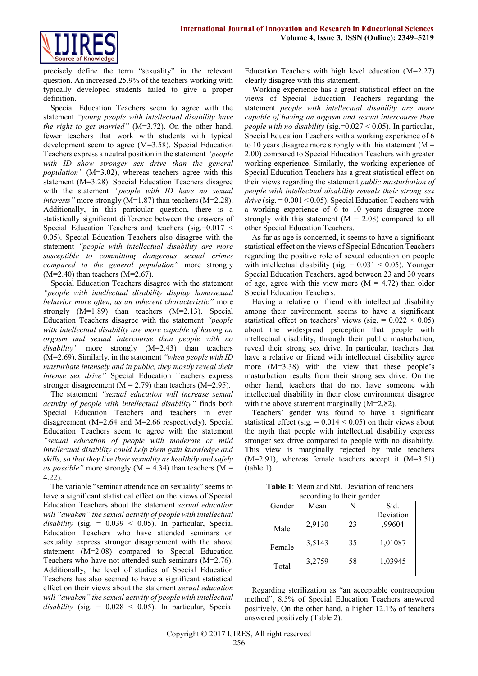

precisely define the term "sexuality" in the relevant question. An increased 25.9% of the teachers working with typically developed students failed to give a proper definition.

Special Education Teachers seem to agree with the statement *"young people with intellectual disability have the right to get married"* (M=3.72). On the other hand, fewer teachers that work with students with typical development seem to agree (Μ=3.58). Special Education Teachers express a neutral position in the statement *"people with ID show stronger sex drive than the general population"* (M=3.02), whereas teachers agree with this statement (M=3.28). Special Education Teachers disagree with the statement *"people with ID have no sexual interests*" more strongly (M=1.87) than teachers (M=2.28). Additionally, in this particular question, there is a statistically significant difference between the answers of Special Education Teachers and teachers (sig.= $0.017 <$ 0.05). Special Education Teachers also disagree with the statement *"people with intellectual disability are more susceptible to committing dangerous sexual crimes compared to the general population"* more strongly  $(M=2.40)$  than teachers  $(M=2.67)$ .

Special Education Teachers disagree with the statement *"people with intellectual disability display homosexual behavior more often, as an inherent characteristic"* more strongly  $(M=1.89)$  than teachers  $(M=2.13)$ . Special Education Teachers disagree with the statement *"people with intellectual disability are more capable of having an orgasm and sexual intercourse than people with no disability"* more strongly (Μ=2.43) than teachers (Μ=2.69). Similarly, in the statement *"when people with ID masturbate intensely and in public, they mostly reveal their intense sex drive"* Special Education Teachers express stronger disagreement ( $M = 2.79$ ) than teachers ( $M = 2.95$ ).

The statement *"sexual education will increase sexual activity of people with intellectual disability"* finds both Special Education Teachers and teachers in even disagreement (Μ=2.64 and Μ=2.66 respectively). Special Education Teachers seem to agree with the statement *"sexual education of people with moderate or mild intellectual disability could help them gain knowledge and skills, so that they live their sexuality as healthily and safely as possible"* more strongly ( $M = 4.34$ ) than teachers ( $M =$ 4.22).

The variable "seminar attendance on sexuality" seems to have a significant statistical effect on the views of Special Education Teachers about the statement *sexual education will "awaken" the sexual activity of people with intellectual*   $disability$  (sig. =  $0.039 < 0.05$ ). In particular, Special Education Teachers who have attended seminars on sexuality express stronger disagreement with the above statement (M=2.08) compared to Special Education Teachers who have not attended such seminars (M=2.76). Additionally, the level of studies of Special Education Teachers has also seemed to have a significant statistical effect on their views about the statement *sexual education will "awaken" the sexual activity of people with intellectual*   $disability$  (sig. =  $0.028 < 0.05$ ). In particular, Special

Education Teachers with high level education (Μ=2.27) clearly disagree with this statement.

Working experience has a great statistical effect on the views of Special Education Teachers regarding the statement *people with intellectual disability are more capable of having an orgasm and sexual intercourse than people with no disability* (sig.=0.027 < 0.05). In particular, Special Education Teachers with a working experience of 6 to 10 years disagree more strongly with this statement  $(M =$ 2.00) compared to Special Education Teachers with greater working experience. Similarly, the working experience of Special Education Teachers has a great statistical effect on their views regarding the statement *public masturbation of people with intellectual disability reveals their strong sex*   $drive$  (sig.  $= 0.001 \le 0.05$ ). Special Education Teachers with a working experience of 6 to 10 years disagree more strongly with this statement  $(M = 2.08)$  compared to all other Special Education Teachers.

As far as age is concerned, it seems to have a significant statistical effect on the views of Special Education Teachers regarding the positive role of sexual education on people with intellectual disability (sig.  $= 0.031 \le 0.05$ ). Younger Special Education Teachers, aged between 23 and 30 years of age, agree with this view more  $(M = 4.72)$  than older Special Education Teachers.

Having a relative or friend with intellectual disability among their environment, seems to have a significant statistical effect on teachers' views (sig.  $= 0.022 < 0.05$ ) about the widespread perception that people with intellectual disability, through their public masturbation, reveal their strong sex drive. In particular, teachers that have a relative or friend with intellectual disability agree more (Μ=3.38) with the view that these people's masturbation results from their strong sex drive. On the other hand, teachers that do not have someone with intellectual disability in their close environment disagree with the above statement marginally (M=2.82).

Teachers' gender was found to have a significant statistical effect (sig.  $= 0.014 \le 0.05$ ) on their views about the myth that people with intellectual disability express stronger sex drive compared to people with no disability. This view is marginally rejected by male teachers (Μ=2.91), whereas female teachers accept it (Μ=3.51) (table 1).

| <b>Table 1:</b> Mean and Std. Deviation of teachers |  |
|-----------------------------------------------------|--|
| according to their gender                           |  |

| $\alpha$ according to their generic |        |    |                     |  |  |  |  |
|-------------------------------------|--------|----|---------------------|--|--|--|--|
| Gender                              | Mean   | N  | Std.                |  |  |  |  |
| Male                                | 2,9130 | 23 | Deviation<br>,99604 |  |  |  |  |
| Female                              | 3,5143 | 35 | 1,01087             |  |  |  |  |
| Total                               | 3,2759 | 58 | 1,03945             |  |  |  |  |

Regarding sterilization as "an acceptable contraception method", 8.5% of Special Education Teachers answered positively. On the other hand, a higher 12.1% of teachers answered positively (Table 2).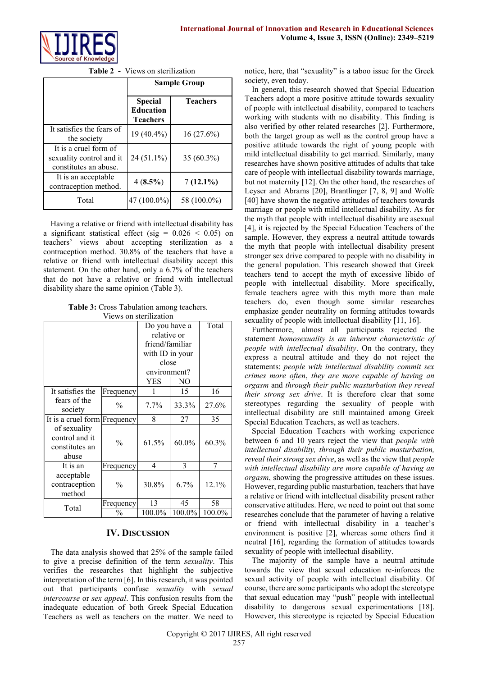

**Table 2 -** Views on sterilization

|                                                                            | <b>Sample Group</b>                                   |                 |  |
|----------------------------------------------------------------------------|-------------------------------------------------------|-----------------|--|
|                                                                            | <b>Special</b><br><b>Education</b><br><b>Teachers</b> | <b>Teachers</b> |  |
| It satisfies the fears of<br>the society                                   | 19 (40.4%)                                            | 16(27.6%)       |  |
| It is a cruel form of<br>sexuality control and it<br>constitutes an abuse. | $24(51.1\%)$                                          | $35(60.3\%)$    |  |
| It is an acceptable<br>contraception method.                               | $4(8.5\%)$                                            | $7(12.1\%)$     |  |
| Total                                                                      | 47 (100.0%)                                           | 58 (100.0%)     |  |

Having a relative or friend with intellectual disability has a significant statistical effect (sig =  $0.026 \le 0.05$ ) on teachers' views about accepting sterilization as a contraception method. 30.8% of the teachers that have a relative or friend with intellectual disability accept this statement. On the other hand, only a 6.7% of the teachers that do not have a relative or friend with intellectual disability share the same opinion (Table 3).

**Table 3:** Cross Tabulation among teachers. Views on sterilization

|                                                           |               | Do you have a<br>relative or<br>friend/familiar<br>with ID in your<br>close<br>environment?<br>YES. | NO       | Total  |
|-----------------------------------------------------------|---------------|-----------------------------------------------------------------------------------------------------|----------|--------|
| It satisfies the                                          | Frequency     |                                                                                                     | 15       | 16     |
| fears of the<br>society                                   | $\frac{0}{0}$ | $7.7\%$                                                                                             | 33.3%    | 27.6%  |
| It is a cruel form                                        | Frequency     | 8                                                                                                   | 27       | 35     |
| of sexuality<br>control and it<br>constitutes an<br>abuse | $\frac{0}{0}$ | 61.5%                                                                                               | $60.0\%$ | 60.3%  |
| It is an                                                  | Frequency     | 4                                                                                                   | 3        | 7      |
| acceptable<br>contraception<br>method                     | $\frac{0}{0}$ | 30.8%                                                                                               | 6.7%     | 12.1%  |
| Total                                                     | Frequency     | 13                                                                                                  | 45       | 58     |
|                                                           | $\%$          | 100.0%                                                                                              | 100.0%   | 100.0% |

# **IV. DISCUSSION**

The data analysis showed that 25% of the sample failed to give a precise definition of the term *sexuality*. This verifies the researches that highlight the subjective interpretation of the term [6]. In this research, it was pointed out that participants confuse *sexuality* with *sexual intercourse* or *sex appeal*. This confusion results from the inadequate education of both Greek Special Education Teachers as well as teachers on the matter. We need to notice, here, that "sexuality" is a taboo issue for the Greek society, even today.

In general, this research showed that Special Education Teachers adopt a more positive attitude towards sexuality of people with intellectual disability, compared to teachers working with students with no disability. This finding is also verified by other related researches [2]. Furthermore, both the target group as well as the control group have a positive attitude towards the right of young people with mild intellectual disability to get married. Similarly, many researches have shown positive attitudes of adults that take care of people with intellectual disability towards marriage, but not maternity [12]. On the other hand, the researches of Leyser and Abrams [20], Brantlinger [7, 8, 9] and Wolfe [40] have shown the negative attitudes of teachers towards marriage or people with mild intellectual disability. As for the myth that people with intellectual disability are asexual [4], it is rejected by the Special Education Teachers of the sample. However, they express a neutral attitude towards the myth that people with intellectual disability present stronger sex drive compared to people with no disability in the general population. This research showed that Greek teachers tend to accept the myth of excessive libido of people with intellectual disability. More specifically, female teachers agree with this myth more than male teachers do, even though some similar researches emphasize gender neutrality on forming attitudes towards sexuality of people with intellectual disability [11, 16].

Furthermore, almost all participants rejected the statement *homosexuality is an inherent characteristic of people with intellectual disability*. On the contrary, they express a neutral attitude and they do not reject the statements: *people with intellectual disability commit sex crimes more often*, *they are more capable of having an orgasm* and *through their public masturbation they reveal their strong sex drive*. It is therefore clear that some stereotypes regarding the sexuality of people with intellectual disability are still maintained among Greek Special Education Teachers, as well as teachers.

Special Education Teachers with working experience between 6 and 10 years reject the view that *people with intellectual disability, through their public masturbation, reveal their strong sex drive*, as well as the view that *people with intellectual disability are more capable of having an orgasm*, showing the progressive attitudes on these issues. However, regarding public masturbation, teachers that have a relative or friend with intellectual disability present rather conservative attitudes. Here, we need to point out that some researches conclude that the parameter of having a relative or friend with intellectual disability in a teacher's environment is positive [2], whereas some others find it neutral [16], regarding the formation of attitudes towards sexuality of people with intellectual disability.

The majority of the sample have a neutral attitude towards the view that sexual education re-inforces the sexual activity of people with intellectual disability. Of course, there are some participants who adopt the stereotype that sexual education may "push" people with intellectual disability to dangerous sexual experimentations [18]. However, this stereotype is rejected by Special Education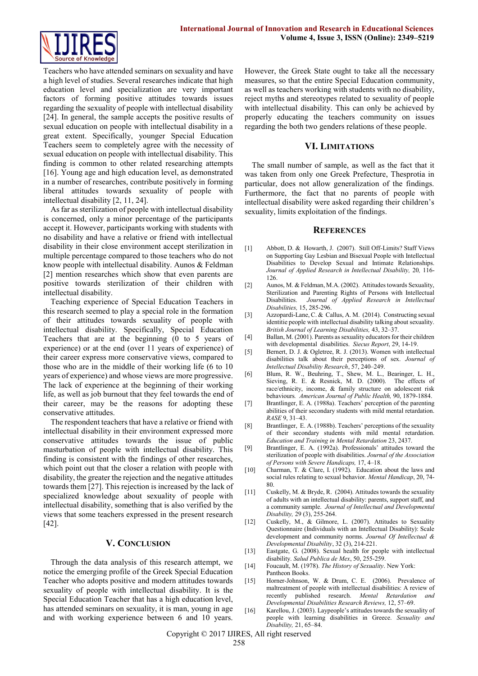

Teachers who have attended seminars on sexuality and have a high level of studies. Several researches indicate that high education level and specialization are very important factors of forming positive attitudes towards issues regarding the sexuality of people with intellectual disability [24]. In general, the sample accepts the positive results of sexual education on people with intellectual disability in a great extent. Specifically, younger Special Education Teachers seem to completely agree with the necessity of sexual education on people with intellectual disability. This finding is common to other related researching attempts [16]. Young age and high education level, as demonstrated in a number of researches, contribute positively in forming liberal attitudes towards sexuality of people with intellectual disability [2, 11, 24].

As far as sterilization of people with intellectual disability is concerned, only a minor percentage of the participants accept it. However, participants working with students with no disability and have a relative or friend with intellectual disability in their close environment accept sterilization in multiple percentage compared to those teachers who do not know people with intellectual disability. Aunos & Feldman [2] mention researches which show that even parents are positive towards sterilization of their children with intellectual disability.

Teaching experience of Special Education Teachers in this research seemed to play a special role in the formation of their attitudes towards sexuality of people with intellectual disability. Specifically, Special Education Teachers that are at the beginning (0 to 5 years of experience) or at the end (over 11 years of experience) of their career express more conservative views, compared to those who are in the middle of their working life (6 to 10 years of experience) and whose views are more progressive. The lack of experience at the beginning of their working life, as well as job burnout that they feel towards the end of their career, may be the reasons for adopting these conservative attitudes.

The respondent teachers that have a relative or friend with intellectual disability in their environment expressed more conservative attitudes towards the issue of public masturbation of people with intellectual disability. This finding is consistent with the findings of other researches, which point out that the closer a relation with people with disability, the greater the rejection and the negative attitudes towards them [27]. This rejection is increased by the lack of specialized knowledge about sexuality of people with intellectual disability, something that is also verified by the views that some teachers expressed in the present research [42].

#### **V. CONCLUSION**

Through the data analysis of this research attempt, we notice the emerging profile of the Greek Special Education Teacher who adopts positive and modern attitudes towards sexuality of people with intellectual disability. It is the Special Education Teacher that has a high education level, has attended seminars on sexuality, it is man, young in age and with working experience between 6 and 10 years.

However, the Greek State ought to take all the necessary measures, so that the entire Special Education community, as well as teachers working with students with no disability, reject myths and stereotypes related to sexuality of people with intellectual disability. This can only be achieved by properly educating the teachers community on issues regarding the both two genders relations of these people.

#### **VI. LIMITATIONS**

The small number of sample, as well as the fact that it was taken from only one Greek Prefecture, Thesprotia in particular, does not allow generalization of the findings. Furthermore, the fact that no parents of people with intellectual disability were asked regarding their children's sexuality, limits exploitation of the findings.

#### **REFERENCES**

- [1] Abbott, D. & Howarth, J. (2007). Still Off-Limits? Staff Views on Supporting Gay Lesbian and Bisexual People with Intellectual Disabilities to Develop Sexual and Intimate Relationships. *Journal of Applied Research in Intellectual Disability,* 20*,* 116- 126.
- [2] Aunos, M. & Feldman, M.A. (2002). Attitudes towards Sexuality, Sterilization and Parenting Rights of Persons with Intellectual Disabilities. *Journal of Applied Research in Intellectual Disabilities,* 15, 285-296.
- [3] Azzopardi-Lane, C. & Callus, A. M. (2014). Constructing sexual identitie people with intellectual disability talking about sexuality. *British Journal of Learning Disabilities,* 43, 32–37.
- [4] Ballan, M. (2001). Parents as sexuality educators for their children with developmental disabilities. *Siecus Report*, 29, 14-19.
- [5] Bernert, D. J. & Ogletree, R. J. (2013). Women with intellectual disabilities talk about their perceptions of sex. *Journal of Intellectual Disability Research*, 57, 240–249.
- [6] Blum, R. W., Beuhring, T., Shew, M. L., Bearinger, L. H., Sieving, R. E. & Resnick, M. D. (2000). The effects of race/ethnicity, income, & family structure on adolescent risk behaviours*. American Journal of Public Health,* 90, 1879-1884.
- [7] Brantlinger, E. A. (1988a). Teachers' perception of the parenting abilities of their secondary students with mild mental retardation. *RASE* 9, 31–43.
- [8] Brantlinger, E. A. (1988b). Teachers' perceptions of the sexuality of their secondary students with mild mental retardation. *Education and Training in Mental Retardation* 23, 2437.
- [9] Brantlinger, E. A. (1992a). Professionals' attitudes toward the sterilization of people with disabilities. *Journal of the Association of Persons with Severe Handicaps,* 17, 4–18.
- [10] Charman, T. & Clare, I. (1992). Education about the laws and social rules relating to sexual behavior. *Mental Handicap*, 20, 74- 80.
- [11] Cuskelly, M. & Bryde, R. (2004). Attitudes towards the sexuality of adults with an intellectual disability: parents, support staff, and a community sample. *Journal of Intellectual and Developmental Disability,* 29 (3), 255-264.
- [12] Cuskelly, M., & Gilmore, L. (2007). Attitudes to Sexuality Questionnaire (Individuals with an Intellectual Disability): Scale development and community norms. *Journal Of Intellectual & Developmental Disability*, 32 (3), 214-221.
- [13] Eastgate, G. (2008). Sexual health for people with intellectual disability. *Salud Publica de Mex*, 50, 255-259.
- [14] Foucault, M. (1978). *The History of Sexuality*. New York: Pantheon Books.
- [15] Horner-Johnson, W. & Drum, C. E. (2006). Prevalence of maltreatment of people with intellectual disabilities: A review of recently published research. *Mental Retardation and Developmental Disabilities Research Reviews,* 12, 57–69.
- [16] Karellou, J. (2003). Laypeople's attitudes towards the sexuality of people with learning disabilities in Greece. *Sexuality and Disability,* 21, 65–84.